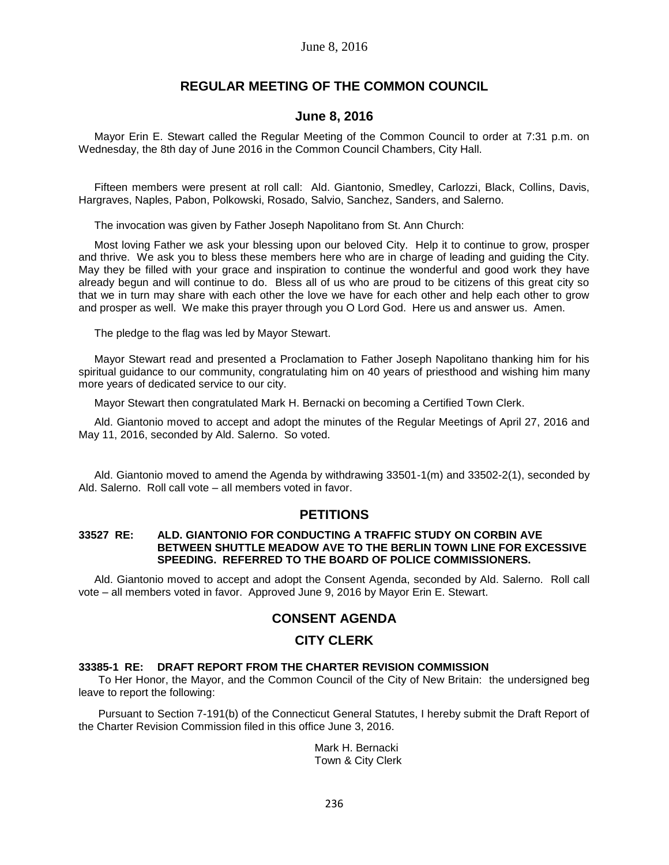# **REGULAR MEETING OF THE COMMON COUNCIL**

# **June 8, 2016**

Mayor Erin E. Stewart called the Regular Meeting of the Common Council to order at 7:31 p.m. on Wednesday, the 8th day of June 2016 in the Common Council Chambers, City Hall.

Fifteen members were present at roll call: Ald. Giantonio, Smedley, Carlozzi, Black, Collins, Davis, Hargraves, Naples, Pabon, Polkowski, Rosado, Salvio, Sanchez, Sanders, and Salerno.

The invocation was given by Father Joseph Napolitano from St. Ann Church:

Most loving Father we ask your blessing upon our beloved City. Help it to continue to grow, prosper and thrive. We ask you to bless these members here who are in charge of leading and guiding the City. May they be filled with your grace and inspiration to continue the wonderful and good work they have already begun and will continue to do. Bless all of us who are proud to be citizens of this great city so that we in turn may share with each other the love we have for each other and help each other to grow and prosper as well. We make this prayer through you O Lord God. Here us and answer us. Amen.

The pledge to the flag was led by Mayor Stewart.

Mayor Stewart read and presented a Proclamation to Father Joseph Napolitano thanking him for his spiritual guidance to our community, congratulating him on 40 years of priesthood and wishing him many more years of dedicated service to our city.

Mayor Stewart then congratulated Mark H. Bernacki on becoming a Certified Town Clerk.

Ald. Giantonio moved to accept and adopt the minutes of the Regular Meetings of April 27, 2016 and May 11, 2016, seconded by Ald. Salerno. So voted.

Ald. Giantonio moved to amend the Agenda by withdrawing 33501-1(m) and 33502-2(1), seconded by Ald. Salerno. Roll call vote – all members voted in favor.

# **PETITIONS**

#### **33527 RE: ALD. GIANTONIO FOR CONDUCTING A TRAFFIC STUDY ON CORBIN AVE BETWEEN SHUTTLE MEADOW AVE TO THE BERLIN TOWN LINE FOR EXCESSIVE SPEEDING. REFERRED TO THE BOARD OF POLICE COMMISSIONERS.**

Ald. Giantonio moved to accept and adopt the Consent Agenda, seconded by Ald. Salerno. Roll call vote – all members voted in favor. Approved June 9, 2016 by Mayor Erin E. Stewart.

# **CONSENT AGENDA**

# **CITY CLERK**

### **33385-1 RE: DRAFT REPORT FROM THE CHARTER REVISION COMMISSION**

To Her Honor, the Mayor, and the Common Council of the City of New Britain: the undersigned beg leave to report the following:

Pursuant to Section 7-191(b) of the Connecticut General Statutes, I hereby submit the Draft Report of the Charter Revision Commission filed in this office June 3, 2016.

> Mark H. Bernacki Town & City Clerk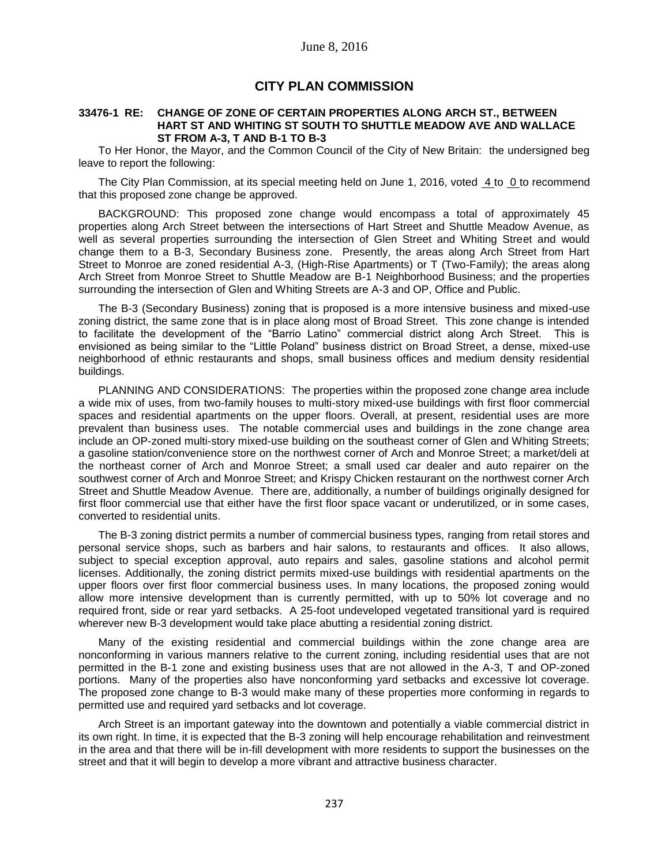# **CITY PLAN COMMISSION**

#### **33476-1 RE: CHANGE OF ZONE OF CERTAIN PROPERTIES ALONG ARCH ST., BETWEEN HART ST AND WHITING ST SOUTH TO SHUTTLE MEADOW AVE AND WALLACE ST FROM A-3, T AND B-1 TO B-3**

To Her Honor, the Mayor, and the Common Council of the City of New Britain: the undersigned beg leave to report the following:

The City Plan Commission, at its special meeting held on June 1, 2016, voted 4 to 0 to recommend that this proposed zone change be approved.

BACKGROUND: This proposed zone change would encompass a total of approximately 45 properties along Arch Street between the intersections of Hart Street and Shuttle Meadow Avenue, as well as several properties surrounding the intersection of Glen Street and Whiting Street and would change them to a B-3, Secondary Business zone. Presently, the areas along Arch Street from Hart Street to Monroe are zoned residential A-3, (High-Rise Apartments) or T (Two-Family); the areas along Arch Street from Monroe Street to Shuttle Meadow are B-1 Neighborhood Business; and the properties surrounding the intersection of Glen and Whiting Streets are A-3 and OP, Office and Public.

The B-3 (Secondary Business) zoning that is proposed is a more intensive business and mixed-use zoning district, the same zone that is in place along most of Broad Street. This zone change is intended to facilitate the development of the "Barrio Latino" commercial district along Arch Street. This is envisioned as being similar to the "Little Poland" business district on Broad Street, a dense, mixed-use neighborhood of ethnic restaurants and shops, small business offices and medium density residential buildings.

PLANNING AND CONSIDERATIONS: The properties within the proposed zone change area include a wide mix of uses, from two-family houses to multi-story mixed-use buildings with first floor commercial spaces and residential apartments on the upper floors. Overall, at present, residential uses are more prevalent than business uses. The notable commercial uses and buildings in the zone change area include an OP-zoned multi-story mixed-use building on the southeast corner of Glen and Whiting Streets; a gasoline station/convenience store on the northwest corner of Arch and Monroe Street; a market/deli at the northeast corner of Arch and Monroe Street; a small used car dealer and auto repairer on the southwest corner of Arch and Monroe Street; and Krispy Chicken restaurant on the northwest corner Arch Street and Shuttle Meadow Avenue. There are, additionally, a number of buildings originally designed for first floor commercial use that either have the first floor space vacant or underutilized, or in some cases, converted to residential units.

The B-3 zoning district permits a number of commercial business types, ranging from retail stores and personal service shops, such as barbers and hair salons, to restaurants and offices. It also allows, subject to special exception approval, auto repairs and sales, gasoline stations and alcohol permit licenses. Additionally, the zoning district permits mixed-use buildings with residential apartments on the upper floors over first floor commercial business uses. In many locations, the proposed zoning would allow more intensive development than is currently permitted, with up to 50% lot coverage and no required front, side or rear yard setbacks. A 25-foot undeveloped vegetated transitional yard is required wherever new B-3 development would take place abutting a residential zoning district.

Many of the existing residential and commercial buildings within the zone change area are nonconforming in various manners relative to the current zoning, including residential uses that are not permitted in the B-1 zone and existing business uses that are not allowed in the A-3, T and OP-zoned portions. Many of the properties also have nonconforming yard setbacks and excessive lot coverage. The proposed zone change to B-3 would make many of these properties more conforming in regards to permitted use and required yard setbacks and lot coverage.

Arch Street is an important gateway into the downtown and potentially a viable commercial district in its own right. In time, it is expected that the B-3 zoning will help encourage rehabilitation and reinvestment in the area and that there will be in-fill development with more residents to support the businesses on the street and that it will begin to develop a more vibrant and attractive business character.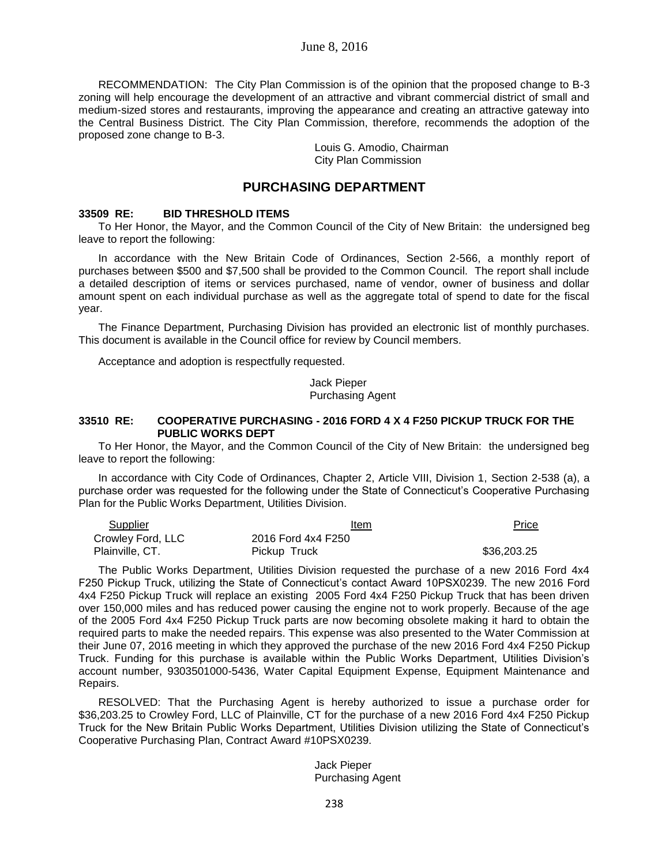RECOMMENDATION: The City Plan Commission is of the opinion that the proposed change to B-3 zoning will help encourage the development of an attractive and vibrant commercial district of small and medium-sized stores and restaurants, improving the appearance and creating an attractive gateway into the Central Business District. The City Plan Commission, therefore, recommends the adoption of the proposed zone change to B-3.

> Louis G. Amodio, Chairman City Plan Commission

# **PURCHASING DEPARTMENT**

#### **33509 RE: BID THRESHOLD ITEMS**

To Her Honor, the Mayor, and the Common Council of the City of New Britain: the undersigned beg leave to report the following:

In accordance with the New Britain Code of Ordinances, Section 2-566, a monthly report of purchases between \$500 and \$7,500 shall be provided to the Common Council. The report shall include a detailed description of items or services purchased, name of vendor, owner of business and dollar amount spent on each individual purchase as well as the aggregate total of spend to date for the fiscal year.

The Finance Department, Purchasing Division has provided an electronic list of monthly purchases. This document is available in the Council office for review by Council members.

Acceptance and adoption is respectfully requested.

Jack Pieper Purchasing Agent

## **33510 RE: COOPERATIVE PURCHASING - 2016 FORD 4 X 4 F250 PICKUP TRUCK FOR THE PUBLIC WORKS DEPT**

To Her Honor, the Mayor, and the Common Council of the City of New Britain: the undersigned beg leave to report the following:

In accordance with City Code of Ordinances, Chapter 2, Article VIII, Division 1, Section 2-538 (a), a purchase order was requested for the following under the State of Connecticut's Cooperative Purchasing Plan for the Public Works Department, Utilities Division.

| Supplier          | Item               | Price       |
|-------------------|--------------------|-------------|
| Crowley Ford, LLC | 2016 Ford 4x4 F250 |             |
| Plainville, CT.   | Pickup Truck       | \$36,203.25 |

The Public Works Department, Utilities Division requested the purchase of a new 2016 Ford 4x4 F250 Pickup Truck, utilizing the State of Connecticut's contact Award 10PSX0239. The new 2016 Ford 4x4 F250 Pickup Truck will replace an existing 2005 Ford 4x4 F250 Pickup Truck that has been driven over 150,000 miles and has reduced power causing the engine not to work properly. Because of the age of the 2005 Ford 4x4 F250 Pickup Truck parts are now becoming obsolete making it hard to obtain the required parts to make the needed repairs. This expense was also presented to the Water Commission at their June 07, 2016 meeting in which they approved the purchase of the new 2016 Ford 4x4 F250 Pickup Truck. Funding for this purchase is available within the Public Works Department, Utilities Division's account number, 9303501000-5436, Water Capital Equipment Expense, Equipment Maintenance and Repairs.

RESOLVED: That the Purchasing Agent is hereby authorized to issue a purchase order for \$36,203.25 to Crowley Ford, LLC of Plainville, CT for the purchase of a new 2016 Ford 4x4 F250 Pickup Truck for the New Britain Public Works Department, Utilities Division utilizing the State of Connecticut's Cooperative Purchasing Plan, Contract Award #10PSX0239.

#### Jack Pieper Purchasing Agent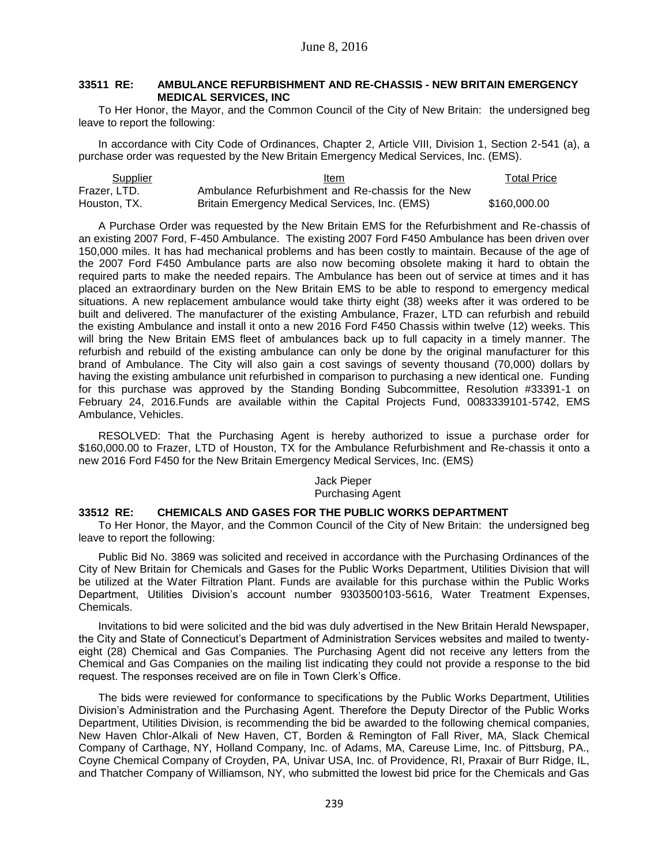## **33511 RE: AMBULANCE REFURBISHMENT AND RE-CHASSIS - NEW BRITAIN EMERGENCY MEDICAL SERVICES, INC**

To Her Honor, the Mayor, and the Common Council of the City of New Britain: the undersigned beg leave to report the following:

In accordance with City Code of Ordinances, Chapter 2, Article VIII, Division 1, Section 2-541 (a), a purchase order was requested by the New Britain Emergency Medical Services, Inc. (EMS).

| <b>Supplier</b> | Item                                               | Total Price  |
|-----------------|----------------------------------------------------|--------------|
| Frazer, LTD.    | Ambulance Refurbishment and Re-chassis for the New |              |
| Houston, TX.    | Britain Emergency Medical Services, Inc. (EMS)     | \$160,000,00 |

A Purchase Order was requested by the New Britain EMS for the Refurbishment and Re-chassis of an existing 2007 Ford, F-450 Ambulance. The existing 2007 Ford F450 Ambulance has been driven over 150,000 miles. It has had mechanical problems and has been costly to maintain. Because of the age of the 2007 Ford F450 Ambulance parts are also now becoming obsolete making it hard to obtain the required parts to make the needed repairs. The Ambulance has been out of service at times and it has placed an extraordinary burden on the New Britain EMS to be able to respond to emergency medical situations. A new replacement ambulance would take thirty eight (38) weeks after it was ordered to be built and delivered. The manufacturer of the existing Ambulance, Frazer, LTD can refurbish and rebuild the existing Ambulance and install it onto a new 2016 Ford F450 Chassis within twelve (12) weeks. This will bring the New Britain EMS fleet of ambulances back up to full capacity in a timely manner. The refurbish and rebuild of the existing ambulance can only be done by the original manufacturer for this brand of Ambulance. The City will also gain a cost savings of seventy thousand (70,000) dollars by having the existing ambulance unit refurbished in comparison to purchasing a new identical one. Funding for this purchase was approved by the Standing Bonding Subcommittee, Resolution #33391-1 on February 24, 2016.Funds are available within the Capital Projects Fund, 0083339101-5742, EMS Ambulance, Vehicles.

RESOLVED: That the Purchasing Agent is hereby authorized to issue a purchase order for \$160,000.00 to Frazer, LTD of Houston, TX for the Ambulance Refurbishment and Re-chassis it onto a new 2016 Ford F450 for the New Britain Emergency Medical Services, Inc. (EMS)

#### Jack Pieper Purchasing Agent

## **33512 RE: CHEMICALS AND GASES FOR THE PUBLIC WORKS DEPARTMENT**

To Her Honor, the Mayor, and the Common Council of the City of New Britain: the undersigned beg leave to report the following:

Public Bid No. 3869 was solicited and received in accordance with the Purchasing Ordinances of the City of New Britain for Chemicals and Gases for the Public Works Department, Utilities Division that will be utilized at the Water Filtration Plant. Funds are available for this purchase within the Public Works Department, Utilities Division's account number 9303500103-5616, Water Treatment Expenses, Chemicals.

Invitations to bid were solicited and the bid was duly advertised in the New Britain Herald Newspaper, the City and State of Connecticut's Department of Administration Services websites and mailed to twentyeight (28) Chemical and Gas Companies. The Purchasing Agent did not receive any letters from the Chemical and Gas Companies on the mailing list indicating they could not provide a response to the bid request. The responses received are on file in Town Clerk's Office.

The bids were reviewed for conformance to specifications by the Public Works Department, Utilities Division's Administration and the Purchasing Agent. Therefore the Deputy Director of the Public Works Department, Utilities Division, is recommending the bid be awarded to the following chemical companies, New Haven Chlor-Alkali of New Haven, CT, Borden & Remington of Fall River, MA, Slack Chemical Company of Carthage, NY, Holland Company, Inc. of Adams, MA, Careuse Lime, Inc. of Pittsburg, PA., Coyne Chemical Company of Croyden, PA, Univar USA, Inc. of Providence, RI, Praxair of Burr Ridge, IL, and Thatcher Company of Williamson, NY, who submitted the lowest bid price for the Chemicals and Gas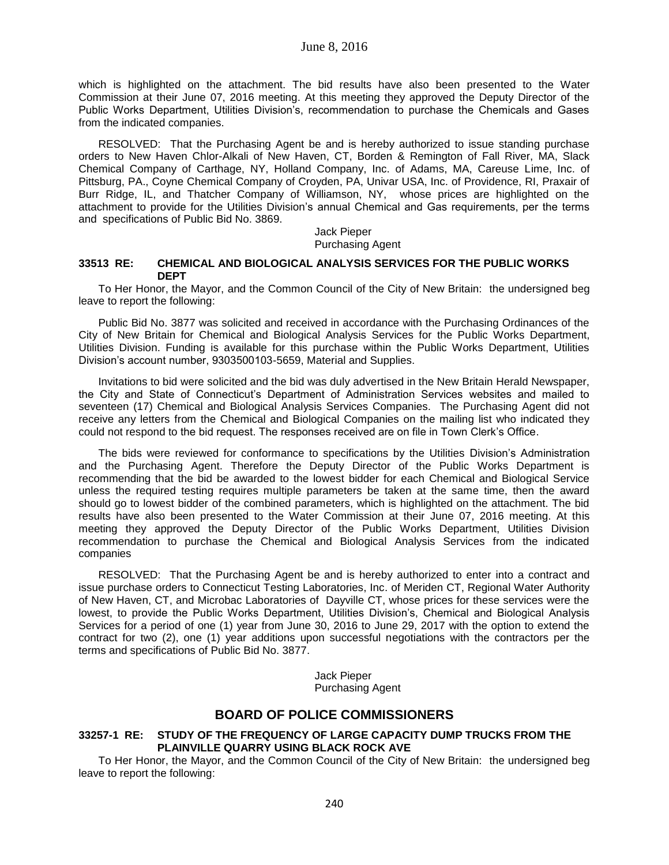which is highlighted on the attachment. The bid results have also been presented to the Water Commission at their June 07, 2016 meeting. At this meeting they approved the Deputy Director of the Public Works Department, Utilities Division's, recommendation to purchase the Chemicals and Gases from the indicated companies.

RESOLVED: That the Purchasing Agent be and is hereby authorized to issue standing purchase orders to New Haven Chlor-Alkali of New Haven, CT, Borden & Remington of Fall River, MA, Slack Chemical Company of Carthage, NY, Holland Company, Inc. of Adams, MA, Careuse Lime, Inc. of Pittsburg, PA., Coyne Chemical Company of Croyden, PA, Univar USA, Inc. of Providence, RI, Praxair of Burr Ridge, IL, and Thatcher Company of Williamson, NY, whose prices are highlighted on the attachment to provide for the Utilities Division's annual Chemical and Gas requirements, per the terms and specifications of Public Bid No. 3869.

#### Jack Pieper Purchasing Agent

#### **33513 RE: CHEMICAL AND BIOLOGICAL ANALYSIS SERVICES FOR THE PUBLIC WORKS DEPT**

To Her Honor, the Mayor, and the Common Council of the City of New Britain: the undersigned beg leave to report the following:

Public Bid No. 3877 was solicited and received in accordance with the Purchasing Ordinances of the City of New Britain for Chemical and Biological Analysis Services for the Public Works Department, Utilities Division. Funding is available for this purchase within the Public Works Department, Utilities Division's account number, 9303500103-5659, Material and Supplies.

Invitations to bid were solicited and the bid was duly advertised in the New Britain Herald Newspaper, the City and State of Connecticut's Department of Administration Services websites and mailed to seventeen (17) Chemical and Biological Analysis Services Companies. The Purchasing Agent did not receive any letters from the Chemical and Biological Companies on the mailing list who indicated they could not respond to the bid request. The responses received are on file in Town Clerk's Office.

The bids were reviewed for conformance to specifications by the Utilities Division's Administration and the Purchasing Agent. Therefore the Deputy Director of the Public Works Department is recommending that the bid be awarded to the lowest bidder for each Chemical and Biological Service unless the required testing requires multiple parameters be taken at the same time, then the award should go to lowest bidder of the combined parameters, which is highlighted on the attachment. The bid results have also been presented to the Water Commission at their June 07, 2016 meeting. At this meeting they approved the Deputy Director of the Public Works Department, Utilities Division recommendation to purchase the Chemical and Biological Analysis Services from the indicated companies

RESOLVED: That the Purchasing Agent be and is hereby authorized to enter into a contract and issue purchase orders to Connecticut Testing Laboratories, Inc. of Meriden CT, Regional Water Authority of New Haven, CT, and Microbac Laboratories of Dayville CT, whose prices for these services were the lowest, to provide the Public Works Department, Utilities Division's, Chemical and Biological Analysis Services for a period of one (1) year from June 30, 2016 to June 29, 2017 with the option to extend the contract for two (2), one (1) year additions upon successful negotiations with the contractors per the terms and specifications of Public Bid No. 3877.

> Jack Pieper Purchasing Agent

# **BOARD OF POLICE COMMISSIONERS**

## **33257-1 RE: STUDY OF THE FREQUENCY OF LARGE CAPACITY DUMP TRUCKS FROM THE PLAINVILLE QUARRY USING BLACK ROCK AVE**

To Her Honor, the Mayor, and the Common Council of the City of New Britain: the undersigned beg leave to report the following: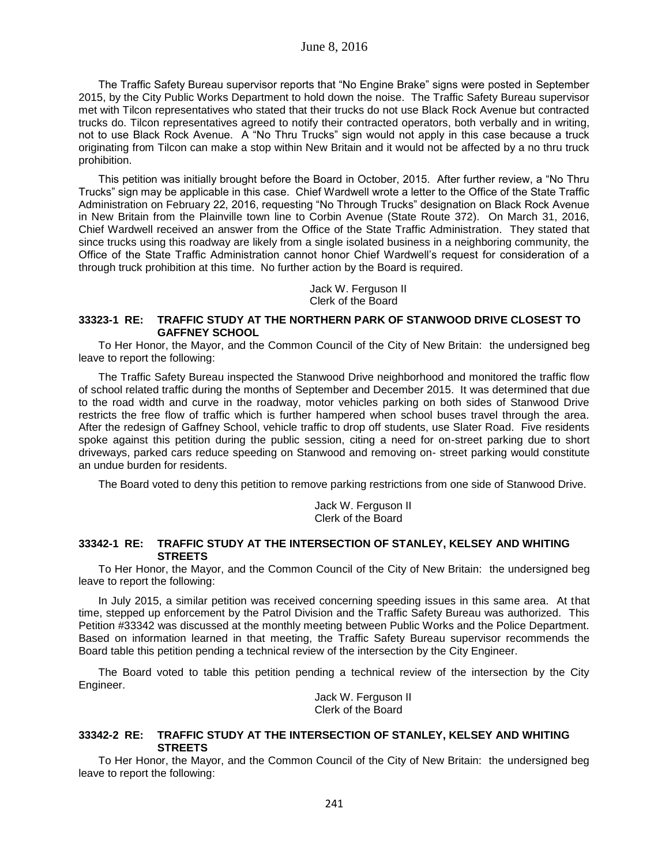The Traffic Safety Bureau supervisor reports that "No Engine Brake" signs were posted in September 2015, by the City Public Works Department to hold down the noise. The Traffic Safety Bureau supervisor met with Tilcon representatives who stated that their trucks do not use Black Rock Avenue but contracted trucks do. Tilcon representatives agreed to notify their contracted operators, both verbally and in writing, not to use Black Rock Avenue. A "No Thru Trucks" sign would not apply in this case because a truck originating from Tilcon can make a stop within New Britain and it would not be affected by a no thru truck prohibition.

This petition was initially brought before the Board in October, 2015. After further review, a "No Thru Trucks" sign may be applicable in this case. Chief Wardwell wrote a letter to the Office of the State Traffic Administration on February 22, 2016, requesting "No Through Trucks" designation on Black Rock Avenue in New Britain from the Plainville town line to Corbin Avenue (State Route 372). On March 31, 2016, Chief Wardwell received an answer from the Office of the State Traffic Administration. They stated that since trucks using this roadway are likely from a single isolated business in a neighboring community, the Office of the State Traffic Administration cannot honor Chief Wardwell's request for consideration of a through truck prohibition at this time. No further action by the Board is required.

> Jack W. Ferguson II Clerk of the Board

#### **33323-1 RE: TRAFFIC STUDY AT THE NORTHERN PARK OF STANWOOD DRIVE CLOSEST TO GAFFNEY SCHOOL**

To Her Honor, the Mayor, and the Common Council of the City of New Britain: the undersigned beg leave to report the following:

The Traffic Safety Bureau inspected the Stanwood Drive neighborhood and monitored the traffic flow of school related traffic during the months of September and December 2015. It was determined that due to the road width and curve in the roadway, motor vehicles parking on both sides of Stanwood Drive restricts the free flow of traffic which is further hampered when school buses travel through the area. After the redesign of Gaffney School, vehicle traffic to drop off students, use Slater Road. Five residents spoke against this petition during the public session, citing a need for on-street parking due to short driveways, parked cars reduce speeding on Stanwood and removing on- street parking would constitute an undue burden for residents.

The Board voted to deny this petition to remove parking restrictions from one side of Stanwood Drive.

Jack W. Ferguson II Clerk of the Board

### **33342-1 RE: TRAFFIC STUDY AT THE INTERSECTION OF STANLEY, KELSEY AND WHITING STREETS**

To Her Honor, the Mayor, and the Common Council of the City of New Britain: the undersigned beg leave to report the following:

In July 2015, a similar petition was received concerning speeding issues in this same area. At that time, stepped up enforcement by the Patrol Division and the Traffic Safety Bureau was authorized. This Petition #33342 was discussed at the monthly meeting between Public Works and the Police Department. Based on information learned in that meeting, the Traffic Safety Bureau supervisor recommends the Board table this petition pending a technical review of the intersection by the City Engineer.

The Board voted to table this petition pending a technical review of the intersection by the City Engineer.

Jack W. Ferguson II Clerk of the Board

### **33342-2 RE: TRAFFIC STUDY AT THE INTERSECTION OF STANLEY, KELSEY AND WHITING STREETS**

To Her Honor, the Mayor, and the Common Council of the City of New Britain: the undersigned beg leave to report the following: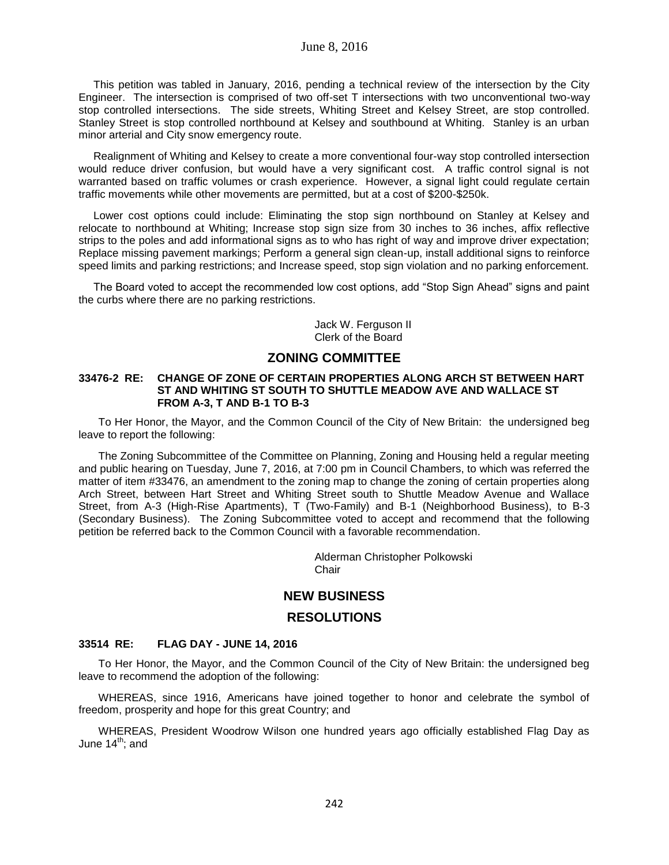This petition was tabled in January, 2016, pending a technical review of the intersection by the City Engineer. The intersection is comprised of two off-set T intersections with two unconventional two-way stop controlled intersections. The side streets, Whiting Street and Kelsey Street, are stop controlled. Stanley Street is stop controlled northbound at Kelsey and southbound at Whiting. Stanley is an urban minor arterial and City snow emergency route.

Realignment of Whiting and Kelsey to create a more conventional four-way stop controlled intersection would reduce driver confusion, but would have a very significant cost. A traffic control signal is not warranted based on traffic volumes or crash experience. However, a signal light could regulate certain traffic movements while other movements are permitted, but at a cost of \$200-\$250k.

Lower cost options could include: Eliminating the stop sign northbound on Stanley at Kelsey and relocate to northbound at Whiting; Increase stop sign size from 30 inches to 36 inches, affix reflective strips to the poles and add informational signs as to who has right of way and improve driver expectation; Replace missing pavement markings; Perform a general sign clean-up, install additional signs to reinforce speed limits and parking restrictions; and Increase speed, stop sign violation and no parking enforcement.

The Board voted to accept the recommended low cost options, add "Stop Sign Ahead" signs and paint the curbs where there are no parking restrictions.

> Jack W. Ferguson II Clerk of the Board

## **ZONING COMMITTEE**

#### **33476-2 RE: CHANGE OF ZONE OF CERTAIN PROPERTIES ALONG ARCH ST BETWEEN HART ST AND WHITING ST SOUTH TO SHUTTLE MEADOW AVE AND WALLACE ST FROM A-3, T AND B-1 TO B-3**

To Her Honor, the Mayor, and the Common Council of the City of New Britain: the undersigned beg leave to report the following:

The Zoning Subcommittee of the Committee on Planning, Zoning and Housing held a regular meeting and public hearing on Tuesday, June 7, 2016, at 7:00 pm in Council Chambers, to which was referred the matter of item #33476, an amendment to the zoning map to change the zoning of certain properties along Arch Street, between Hart Street and Whiting Street south to Shuttle Meadow Avenue and Wallace Street, from A-3 (High-Rise Apartments), T (Two-Family) and B-1 (Neighborhood Business), to B-3 (Secondary Business). The Zoning Subcommittee voted to accept and recommend that the following petition be referred back to the Common Council with a favorable recommendation.

> Alderman Christopher Polkowski Chair

# **NEW BUSINESS**

### **RESOLUTIONS**

## **33514 RE: FLAG DAY - JUNE 14, 2016**

To Her Honor, the Mayor, and the Common Council of the City of New Britain: the undersigned beg leave to recommend the adoption of the following:

WHEREAS, since 1916, Americans have joined together to honor and celebrate the symbol of freedom, prosperity and hope for this great Country; and

WHEREAS, President Woodrow Wilson one hundred years ago officially established Flag Day as June  $14^{th}$ ; and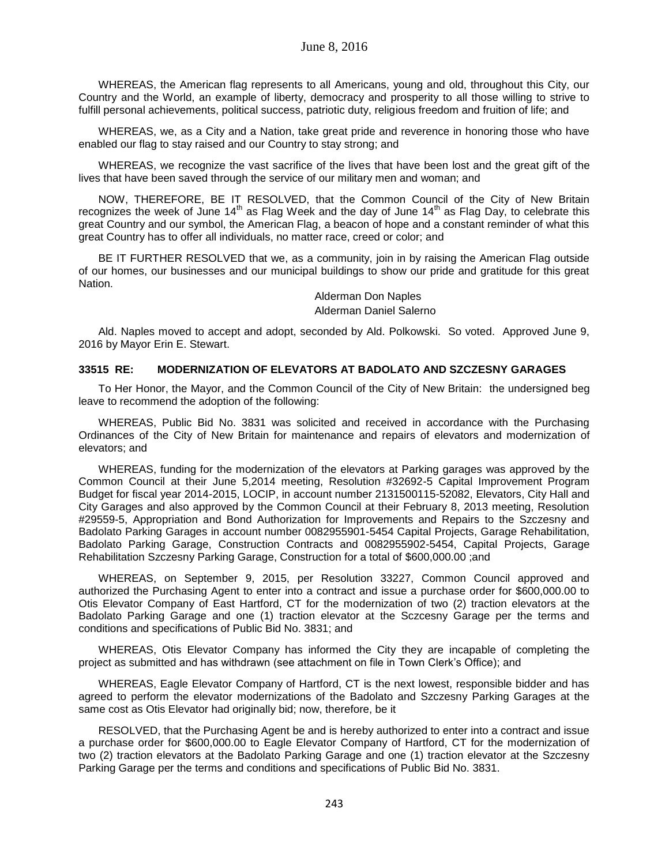WHEREAS, the American flag represents to all Americans, young and old, throughout this City, our Country and the World, an example of liberty, democracy and prosperity to all those willing to strive to fulfill personal achievements, political success, patriotic duty, religious freedom and fruition of life; and

WHEREAS, we, as a City and a Nation, take great pride and reverence in honoring those who have enabled our flag to stay raised and our Country to stay strong; and

WHEREAS, we recognize the vast sacrifice of the lives that have been lost and the great gift of the lives that have been saved through the service of our military men and woman; and

NOW, THEREFORE, BE IT RESOLVED, that the Common Council of the City of New Britain recognizes the week of June  $14<sup>th</sup>$  as Flag Week and the day of June  $14<sup>th</sup>$  as Flag Day, to celebrate this great Country and our symbol, the American Flag, a beacon of hope and a constant reminder of what this great Country has to offer all individuals, no matter race, creed or color; and

BE IT FURTHER RESOLVED that we, as a community, join in by raising the American Flag outside of our homes, our businesses and our municipal buildings to show our pride and gratitude for this great Nation.

> Alderman Don Naples Alderman Daniel Salerno

Ald. Naples moved to accept and adopt, seconded by Ald. Polkowski. So voted. Approved June 9, 2016 by Mayor Erin E. Stewart.

### **33515 RE: MODERNIZATION OF ELEVATORS AT BADOLATO AND SZCZESNY GARAGES**

To Her Honor, the Mayor, and the Common Council of the City of New Britain: the undersigned beg leave to recommend the adoption of the following:

WHEREAS, Public Bid No. 3831 was solicited and received in accordance with the Purchasing Ordinances of the City of New Britain for maintenance and repairs of elevators and modernization of elevators; and

WHEREAS, funding for the modernization of the elevators at Parking garages was approved by the Common Council at their June 5,2014 meeting, Resolution #32692-5 Capital Improvement Program Budget for fiscal year 2014-2015, LOCIP, in account number 2131500115-52082, Elevators, City Hall and City Garages and also approved by the Common Council at their February 8, 2013 meeting, Resolution #29559-5, Appropriation and Bond Authorization for Improvements and Repairs to the Szczesny and Badolato Parking Garages in account number 0082955901-5454 Capital Projects, Garage Rehabilitation, Badolato Parking Garage, Construction Contracts and 0082955902-5454, Capital Projects, Garage Rehabilitation Szczesny Parking Garage, Construction for a total of \$600,000.00 ;and

WHEREAS, on September 9, 2015, per Resolution 33227, Common Council approved and authorized the Purchasing Agent to enter into a contract and issue a purchase order for \$600,000.00 to Otis Elevator Company of East Hartford, CT for the modernization of two (2) traction elevators at the Badolato Parking Garage and one (1) traction elevator at the Sczcesny Garage per the terms and conditions and specifications of Public Bid No. 3831; and

WHEREAS, Otis Elevator Company has informed the City they are incapable of completing the project as submitted and has withdrawn (see attachment on file in Town Clerk's Office); and

WHEREAS, Eagle Elevator Company of Hartford, CT is the next lowest, responsible bidder and has agreed to perform the elevator modernizations of the Badolato and Szczesny Parking Garages at the same cost as Otis Elevator had originally bid; now, therefore, be it

RESOLVED, that the Purchasing Agent be and is hereby authorized to enter into a contract and issue a purchase order for \$600,000.00 to Eagle Elevator Company of Hartford, CT for the modernization of two (2) traction elevators at the Badolato Parking Garage and one (1) traction elevator at the Szczesny Parking Garage per the terms and conditions and specifications of Public Bid No. 3831.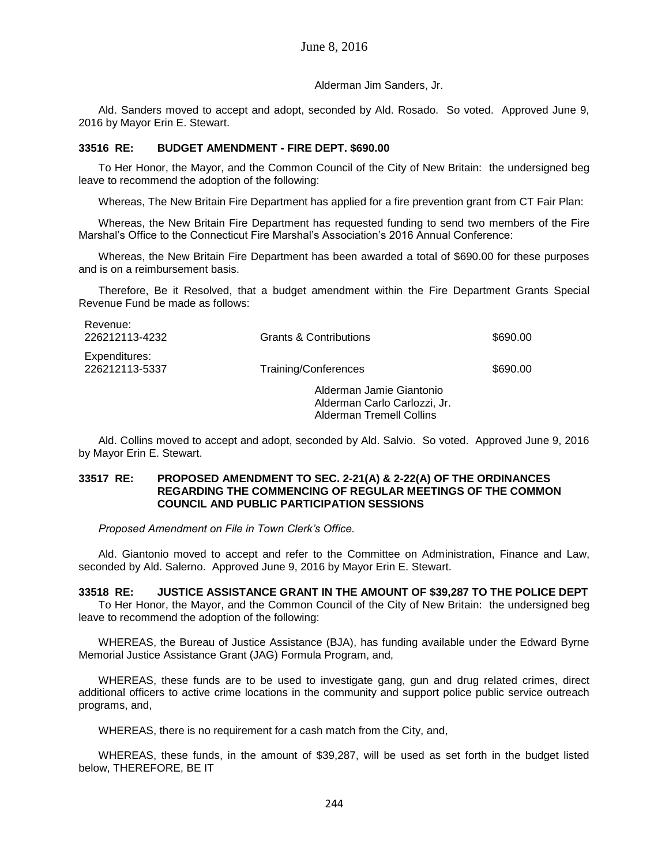Alderman Jim Sanders, Jr.

Ald. Sanders moved to accept and adopt, seconded by Ald. Rosado. So voted. Approved June 9, 2016 by Mayor Erin E. Stewart.

## **33516 RE: BUDGET AMENDMENT - FIRE DEPT. \$690.00**

To Her Honor, the Mayor, and the Common Council of the City of New Britain: the undersigned beg leave to recommend the adoption of the following:

Whereas, The New Britain Fire Department has applied for a fire prevention grant from CT Fair Plan:

Whereas, the New Britain Fire Department has requested funding to send two members of the Fire Marshal's Office to the Connecticut Fire Marshal's Association's 2016 Annual Conference:

Whereas, the New Britain Fire Department has been awarded a total of \$690.00 for these purposes and is on a reimbursement basis.

Therefore, Be it Resolved, that a budget amendment within the Fire Department Grants Special Revenue Fund be made as follows:

| NEVELIUS.<br>226212113-4232     | <b>Grants &amp; Contributions</b>                                                           | \$690.00 |
|---------------------------------|---------------------------------------------------------------------------------------------|----------|
| Expenditures:<br>226212113-5337 | Training/Conferences                                                                        | \$690.00 |
|                                 | Alderman Jamie Giantonio<br>Alderman Carlo Carlozzi, Jr.<br><b>Alderman Tremell Collins</b> |          |

Ald. Collins moved to accept and adopt, seconded by Ald. Salvio. So voted. Approved June 9, 2016 by Mayor Erin E. Stewart.

### **33517 RE: PROPOSED AMENDMENT TO SEC. 2-21(A) & 2-22(A) OF THE ORDINANCES REGARDING THE COMMENCING OF REGULAR MEETINGS OF THE COMMON COUNCIL AND PUBLIC PARTICIPATION SESSIONS**

*Proposed Amendment on File in Town Clerk's Office.*

Revenue:

Ald. Giantonio moved to accept and refer to the Committee on Administration, Finance and Law, seconded by Ald. Salerno. Approved June 9, 2016 by Mayor Erin E. Stewart.

### **33518 RE: JUSTICE ASSISTANCE GRANT IN THE AMOUNT OF \$39,287 TO THE POLICE DEPT**

To Her Honor, the Mayor, and the Common Council of the City of New Britain: the undersigned beg leave to recommend the adoption of the following:

WHEREAS, the Bureau of Justice Assistance (BJA), has funding available under the Edward Byrne Memorial Justice Assistance Grant (JAG) Formula Program, and,

WHEREAS, these funds are to be used to investigate gang, gun and drug related crimes, direct additional officers to active crime locations in the community and support police public service outreach programs, and,

WHEREAS, there is no requirement for a cash match from the City, and,

WHEREAS, these funds, in the amount of \$39,287, will be used as set forth in the budget listed below, THEREFORE, BE IT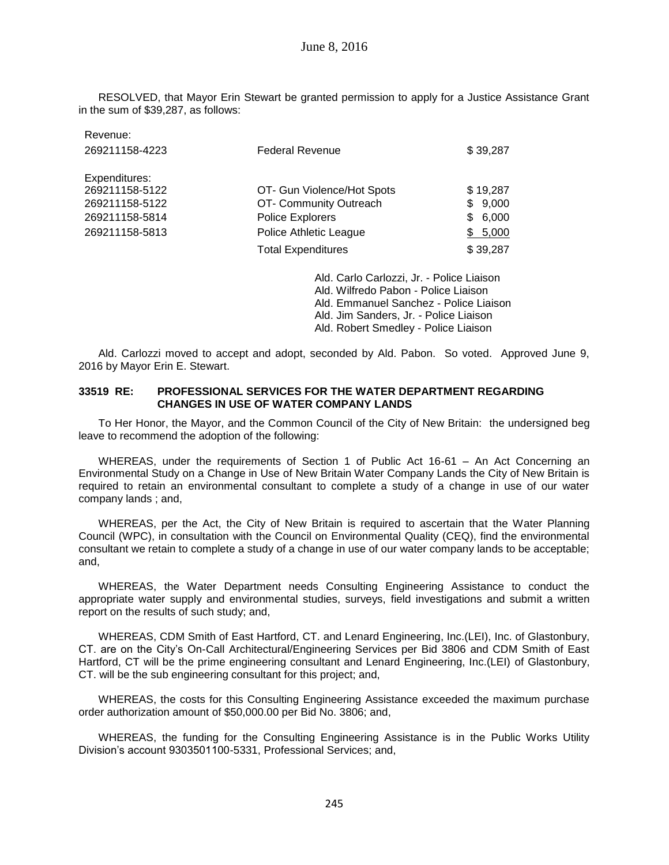RESOLVED, that Mayor Erin Stewart be granted permission to apply for a Justice Assistance Grant in the sum of \$39,287, as follows:

| Revenue:       |                            |             |
|----------------|----------------------------|-------------|
| 269211158-4223 | <b>Federal Revenue</b>     | \$39,287    |
|                |                            |             |
| Expenditures:  |                            |             |
| 269211158-5122 | OT- Gun Violence/Hot Spots | \$19,287    |
| 269211158-5122 | OT- Community Outreach     | \$9,000     |
| 269211158-5814 | <b>Police Explorers</b>    | 6,000<br>S. |
| 269211158-5813 | Police Athletic League     | \$5,000     |
|                | <b>Total Expenditures</b>  | \$39,287    |

Ald. Carlo Carlozzi, Jr. - Police Liaison Ald. Wilfredo Pabon - Police Liaison Ald. Emmanuel Sanchez - Police Liaison Ald. Jim Sanders, Jr. - Police Liaison Ald. Robert Smedley - Police Liaison

Ald. Carlozzi moved to accept and adopt, seconded by Ald. Pabon. So voted. Approved June 9, 2016 by Mayor Erin E. Stewart.

## **33519 RE: PROFESSIONAL SERVICES FOR THE WATER DEPARTMENT REGARDING CHANGES IN USE OF WATER COMPANY LANDS**

To Her Honor, the Mayor, and the Common Council of the City of New Britain: the undersigned beg leave to recommend the adoption of the following:

WHEREAS, under the requirements of Section 1 of Public Act 16-61 – An Act Concerning an Environmental Study on a Change in Use of New Britain Water Company Lands the City of New Britain is required to retain an environmental consultant to complete a study of a change in use of our water company lands ; and,

WHEREAS, per the Act, the City of New Britain is required to ascertain that the Water Planning Council (WPC), in consultation with the Council on Environmental Quality (CEQ), find the environmental consultant we retain to complete a study of a change in use of our water company lands to be acceptable; and,

WHEREAS, the Water Department needs Consulting Engineering Assistance to conduct the appropriate water supply and environmental studies, surveys, field investigations and submit a written report on the results of such study; and,

WHEREAS, CDM Smith of East Hartford, CT. and Lenard Engineering, Inc.(LEI), Inc. of Glastonbury, CT. are on the City's On-Call Architectural/Engineering Services per Bid 3806 and CDM Smith of East Hartford, CT will be the prime engineering consultant and Lenard Engineering, Inc.(LEI) of Glastonbury, CT. will be the sub engineering consultant for this project; and,

WHEREAS, the costs for this Consulting Engineering Assistance exceeded the maximum purchase order authorization amount of \$50,000.00 per Bid No. 3806; and,

WHEREAS, the funding for the Consulting Engineering Assistance is in the Public Works Utility Division's account 9303501100-5331, Professional Services; and,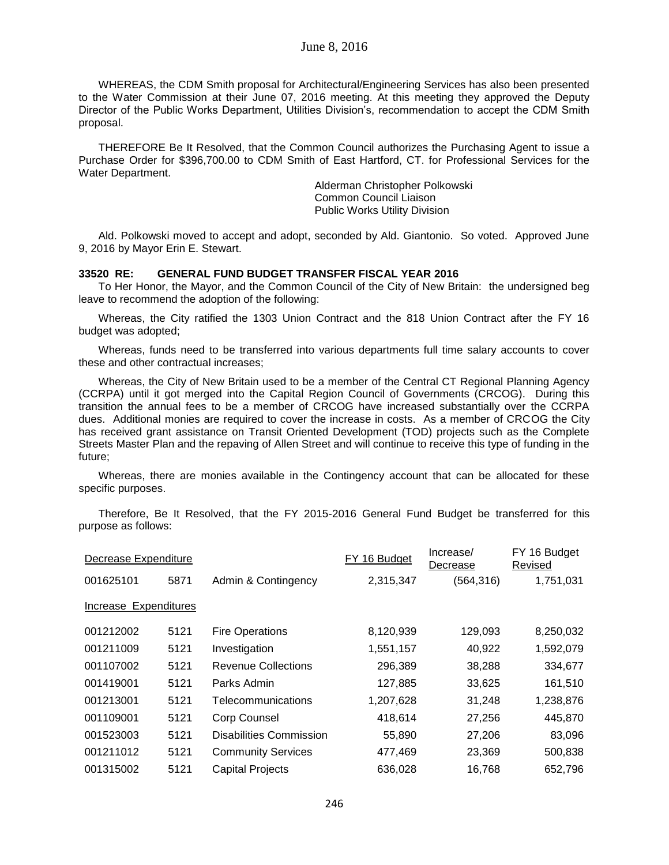WHEREAS, the CDM Smith proposal for Architectural/Engineering Services has also been presented to the Water Commission at their June 07, 2016 meeting. At this meeting they approved the Deputy Director of the Public Works Department, Utilities Division's, recommendation to accept the CDM Smith proposal.

THEREFORE Be It Resolved, that the Common Council authorizes the Purchasing Agent to issue a Purchase Order for \$396,700.00 to CDM Smith of East Hartford, CT. for Professional Services for the Water Department.

> Alderman Christopher Polkowski Common Council Liaison Public Works Utility Division

Ald. Polkowski moved to accept and adopt, seconded by Ald. Giantonio. So voted. Approved June 9, 2016 by Mayor Erin E. Stewart.

#### **33520 RE: GENERAL FUND BUDGET TRANSFER FISCAL YEAR 2016**

To Her Honor, the Mayor, and the Common Council of the City of New Britain: the undersigned beg leave to recommend the adoption of the following:

Whereas, the City ratified the 1303 Union Contract and the 818 Union Contract after the FY 16 budget was adopted;

Whereas, funds need to be transferred into various departments full time salary accounts to cover these and other contractual increases;

Whereas, the City of New Britain used to be a member of the Central CT Regional Planning Agency (CCRPA) until it got merged into the Capital Region Council of Governments (CRCOG). During this transition the annual fees to be a member of CRCOG have increased substantially over the CCRPA dues. Additional monies are required to cover the increase in costs. As a member of CRCOG the City has received grant assistance on Transit Oriented Development (TOD) projects such as the Complete Streets Master Plan and the repaving of Allen Street and will continue to receive this type of funding in the future;

Whereas, there are monies available in the Contingency account that can be allocated for these specific purposes.

Therefore, Be It Resolved, that the FY 2015-2016 General Fund Budget be transferred for this purpose as follows:

| Decrease Expenditure  |      |                                | FY 16 Budget | Increase/<br>Decrease | FY 16 Budget<br>Revised |
|-----------------------|------|--------------------------------|--------------|-----------------------|-------------------------|
| 001625101             | 5871 | Admin & Contingency            | 2,315,347    | (564, 316)            | 1,751,031               |
| Increase Expenditures |      |                                |              |                       |                         |
| 001212002             | 5121 | <b>Fire Operations</b>         | 8,120,939    | 129,093               | 8,250,032               |
| 001211009             | 5121 | Investigation                  | 1,551,157    | 40,922                | 1,592,079               |
| 001107002             | 5121 | <b>Revenue Collections</b>     | 296,389      | 38,288                | 334,677                 |
| 001419001             | 5121 | Parks Admin                    | 127,885      | 33,625                | 161,510                 |
| 001213001             | 5121 | Telecommunications             | 1,207,628    | 31,248                | 1,238,876               |
| 001109001             | 5121 | Corp Counsel                   | 418,614      | 27,256                | 445,870                 |
| 001523003             | 5121 | <b>Disabilities Commission</b> | 55,890       | 27,206                | 83,096                  |
| 001211012             | 5121 | <b>Community Services</b>      | 477,469      | 23,369                | 500,838                 |
| 001315002             | 5121 | <b>Capital Projects</b>        | 636,028      | 16,768                | 652,796                 |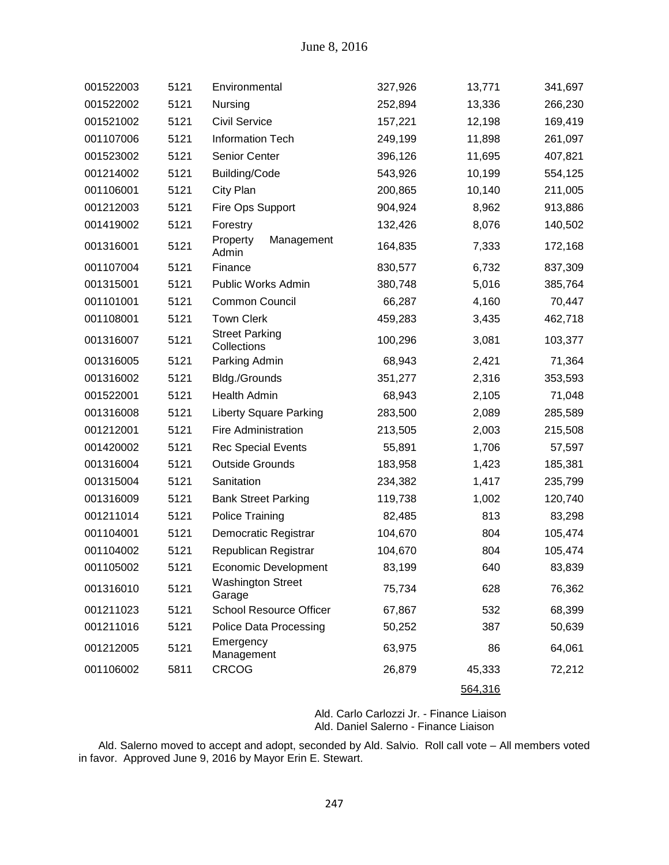| 001522003 | 5121 | Environmental                        | 327,926 | 13,771  | 341,697 |
|-----------|------|--------------------------------------|---------|---------|---------|
| 001522002 | 5121 | Nursing                              | 252,894 | 13,336  | 266,230 |
| 001521002 | 5121 | <b>Civil Service</b>                 | 157,221 | 12,198  | 169,419 |
| 001107006 | 5121 | Information Tech                     | 249,199 | 11,898  | 261,097 |
| 001523002 | 5121 | Senior Center                        | 396,126 | 11,695  | 407,821 |
| 001214002 | 5121 | <b>Building/Code</b>                 | 543,926 | 10,199  | 554,125 |
| 001106001 | 5121 | City Plan                            | 200,865 | 10,140  | 211,005 |
| 001212003 | 5121 | Fire Ops Support                     | 904,924 | 8,962   | 913,886 |
| 001419002 | 5121 | Forestry                             | 132,426 | 8,076   | 140,502 |
| 001316001 | 5121 | Management<br>Property<br>Admin      | 164,835 | 7,333   | 172,168 |
| 001107004 | 5121 | Finance                              | 830,577 | 6,732   | 837,309 |
| 001315001 | 5121 | Public Works Admin                   | 380,748 | 5,016   | 385,764 |
| 001101001 | 5121 | Common Council                       | 66,287  | 4,160   | 70,447  |
| 001108001 | 5121 | <b>Town Clerk</b>                    | 459,283 | 3,435   | 462,718 |
| 001316007 | 5121 | <b>Street Parking</b><br>Collections | 100,296 | 3,081   | 103,377 |
| 001316005 | 5121 | Parking Admin                        | 68,943  | 2,421   | 71,364  |
| 001316002 | 5121 | Bldg./Grounds                        | 351,277 | 2,316   | 353,593 |
| 001522001 | 5121 | <b>Health Admin</b>                  | 68,943  | 2,105   | 71,048  |
| 001316008 | 5121 | <b>Liberty Square Parking</b>        | 283,500 | 2,089   | 285,589 |
| 001212001 | 5121 | <b>Fire Administration</b>           | 213,505 | 2,003   | 215,508 |
| 001420002 | 5121 | <b>Rec Special Events</b>            | 55,891  | 1,706   | 57,597  |
| 001316004 | 5121 | <b>Outside Grounds</b>               | 183,958 | 1,423   | 185,381 |
| 001315004 | 5121 | Sanitation                           | 234,382 | 1,417   | 235,799 |
| 001316009 | 5121 | <b>Bank Street Parking</b>           | 119,738 | 1,002   | 120,740 |
| 001211014 | 5121 | <b>Police Training</b>               | 82,485  | 813     | 83,298  |
| 001104001 | 5121 | Democratic Registrar                 | 104,670 | 804     | 105,474 |
| 001104002 | 5121 | Republican Registrar                 | 104,670 | 804     | 105,474 |
| 001105002 | 5121 | Economic Development                 | 83,199  | 640     | 83,839  |
| 001316010 | 5121 | <b>Washington Street</b><br>Garage   | 75,734  | 628     | 76,362  |
| 001211023 | 5121 | School Resource Officer              | 67,867  | 532     | 68,399  |
| 001211016 | 5121 | <b>Police Data Processing</b>        | 50,252  | 387     | 50,639  |
| 001212005 | 5121 | Emergency<br>Management              | 63,975  | 86      | 64,061  |
| 001106002 | 5811 | <b>CRCOG</b>                         | 26,879  | 45,333  | 72,212  |
|           |      |                                      |         | 564,316 |         |

Ald. Carlo Carlozzi Jr. - Finance Liaison Ald. Daniel Salerno - Finance Liaison

Ald. Salerno moved to accept and adopt, seconded by Ald. Salvio. Roll call vote – All members voted in favor. Approved June 9, 2016 by Mayor Erin E. Stewart.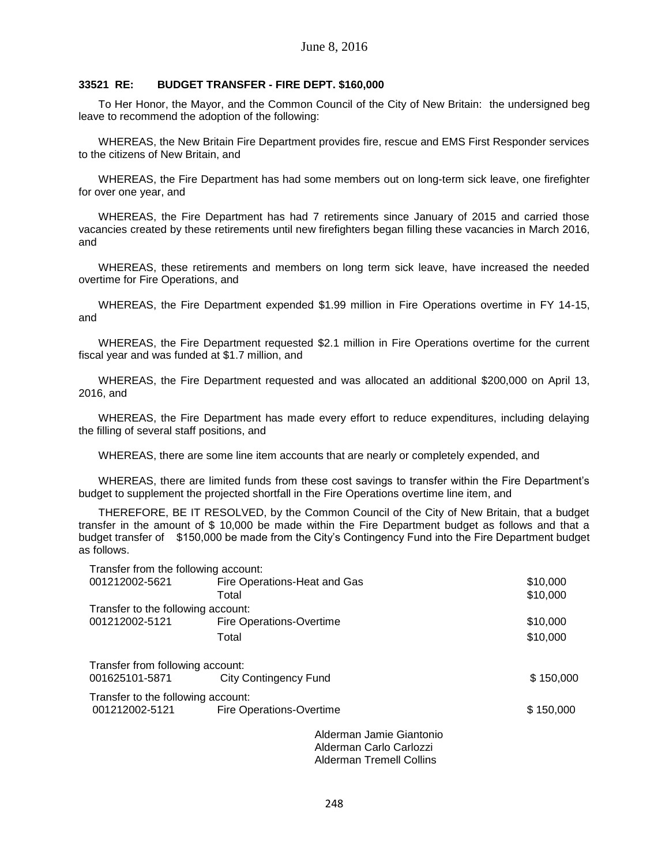## **33521 RE: BUDGET TRANSFER - FIRE DEPT. \$160,000**

To Her Honor, the Mayor, and the Common Council of the City of New Britain: the undersigned beg leave to recommend the adoption of the following:

WHEREAS, the New Britain Fire Department provides fire, rescue and EMS First Responder services to the citizens of New Britain, and

WHEREAS, the Fire Department has had some members out on long-term sick leave, one firefighter for over one year, and

WHEREAS, the Fire Department has had 7 retirements since January of 2015 and carried those vacancies created by these retirements until new firefighters began filling these vacancies in March 2016, and

WHEREAS, these retirements and members on long term sick leave, have increased the needed overtime for Fire Operations, and

WHEREAS, the Fire Department expended \$1.99 million in Fire Operations overtime in FY 14-15, and

WHEREAS, the Fire Department requested \$2.1 million in Fire Operations overtime for the current fiscal year and was funded at \$1.7 million, and

WHEREAS, the Fire Department requested and was allocated an additional \$200,000 on April 13, 2016, and

WHEREAS, the Fire Department has made every effort to reduce expenditures, including delaying the filling of several staff positions, and

WHEREAS, there are some line item accounts that are nearly or completely expended, and

WHEREAS, there are limited funds from these cost savings to transfer within the Fire Department's budget to supplement the projected shortfall in the Fire Operations overtime line item, and

THEREFORE, BE IT RESOLVED, by the Common Council of the City of New Britain, that a budget transfer in the amount of \$ 10,000 be made within the Fire Department budget as follows and that a budget transfer of \$150,000 be made from the City's Contingency Fund into the Fire Department budget as follows.

| Transfer from the following account: |                                 |                          |           |
|--------------------------------------|---------------------------------|--------------------------|-----------|
| 001212002-5621                       | Fire Operations-Heat and Gas    |                          | \$10,000  |
|                                      | Total                           |                          | \$10,000  |
| Transfer to the following account:   |                                 |                          |           |
| 001212002-5121                       | <b>Fire Operations-Overtime</b> |                          | \$10,000  |
|                                      | Total                           |                          | \$10,000  |
| Transfer from following account:     |                                 |                          |           |
| 001625101-5871                       | <b>City Contingency Fund</b>    |                          | \$150,000 |
| Transfer to the following account:   |                                 |                          |           |
| 001212002-5121                       | Fire Operations-Overtime        |                          | \$150,000 |
|                                      |                                 | Alderman Jamie Giantonio |           |
|                                      |                                 | Alderman Carlo Carlozzi  |           |
|                                      |                                 |                          |           |

Alderman Tremell Collins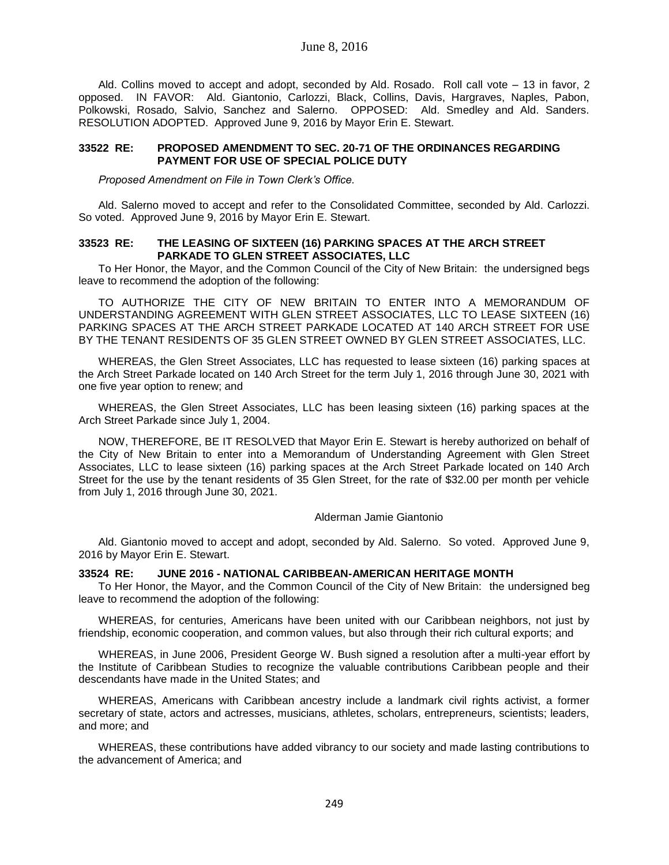Ald. Collins moved to accept and adopt, seconded by Ald. Rosado. Roll call vote – 13 in favor, 2 opposed. IN FAVOR: Ald. Giantonio, Carlozzi, Black, Collins, Davis, Hargraves, Naples, Pabon, Polkowski, Rosado, Salvio, Sanchez and Salerno. OPPOSED: Ald. Smedley and Ald. Sanders. RESOLUTION ADOPTED. Approved June 9, 2016 by Mayor Erin E. Stewart.

## **33522 RE: PROPOSED AMENDMENT TO SEC. 20-71 OF THE ORDINANCES REGARDING PAYMENT FOR USE OF SPECIAL POLICE DUTY**

*Proposed Amendment on File in Town Clerk's Office.*

Ald. Salerno moved to accept and refer to the Consolidated Committee, seconded by Ald. Carlozzi. So voted. Approved June 9, 2016 by Mayor Erin E. Stewart.

### **33523 RE: THE LEASING OF SIXTEEN (16) PARKING SPACES AT THE ARCH STREET PARKADE TO GLEN STREET ASSOCIATES, LLC**

To Her Honor, the Mayor, and the Common Council of the City of New Britain: the undersigned begs leave to recommend the adoption of the following:

TO AUTHORIZE THE CITY OF NEW BRITAIN TO ENTER INTO A MEMORANDUM OF UNDERSTANDING AGREEMENT WITH GLEN STREET ASSOCIATES, LLC TO LEASE SIXTEEN (16) PARKING SPACES AT THE ARCH STREET PARKADE LOCATED AT 140 ARCH STREET FOR USE BY THE TENANT RESIDENTS OF 35 GLEN STREET OWNED BY GLEN STREET ASSOCIATES, LLC.

WHEREAS, the Glen Street Associates, LLC has requested to lease sixteen (16) parking spaces at the Arch Street Parkade located on 140 Arch Street for the term July 1, 2016 through June 30, 2021 with one five year option to renew; and

WHEREAS, the Glen Street Associates, LLC has been leasing sixteen (16) parking spaces at the Arch Street Parkade since July 1, 2004.

NOW, THEREFORE, BE IT RESOLVED that Mayor Erin E. Stewart is hereby authorized on behalf of the City of New Britain to enter into a Memorandum of Understanding Agreement with Glen Street Associates, LLC to lease sixteen (16) parking spaces at the Arch Street Parkade located on 140 Arch Street for the use by the tenant residents of 35 Glen Street, for the rate of \$32.00 per month per vehicle from July 1, 2016 through June 30, 2021.

### Alderman Jamie Giantonio

Ald. Giantonio moved to accept and adopt, seconded by Ald. Salerno. So voted. Approved June 9, 2016 by Mayor Erin E. Stewart.

### **33524 RE: JUNE 2016 - NATIONAL CARIBBEAN-AMERICAN HERITAGE MONTH**

To Her Honor, the Mayor, and the Common Council of the City of New Britain: the undersigned beg leave to recommend the adoption of the following:

WHEREAS, for centuries, Americans have been united with our Caribbean neighbors, not just by friendship, economic cooperation, and common values, but also through their rich cultural exports; and

WHEREAS, in June 2006, President George W. Bush signed a resolution after a multi-year effort by the Institute of Caribbean Studies to recognize the valuable contributions Caribbean people and their descendants have made in the United States; and

WHEREAS, Americans with Caribbean ancestry include a landmark civil rights activist, a former secretary of state, actors and actresses, musicians, athletes, scholars, entrepreneurs, scientists; leaders, and more; and

WHEREAS, these contributions have added vibrancy to our society and made lasting contributions to the advancement of America; and